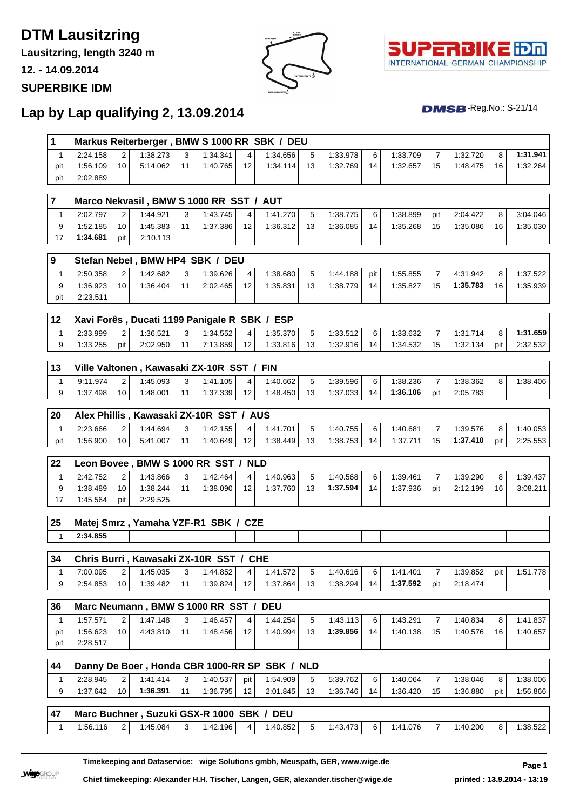# **DTM Lausitzring**

**Lausitzring, length 3240 m**

**12. - 14.09.2014**

#### **SUPERBIKE IDM**





 $DMSB$ -Reg.No.: S-21/14

### **Lap by Lap qualifying 2, 13.09.2014**

| 1                 |          |                |                      |                |                                              |     | Markus Reiterberger, BMW S 1000 RR SBK / DEU  |    |          |     |          |                |          |     |          |
|-------------------|----------|----------------|----------------------|----------------|----------------------------------------------|-----|-----------------------------------------------|----|----------|-----|----------|----------------|----------|-----|----------|
| 1                 | 2:24.158 | 2              | 1:38.273             | 3 <sup>1</sup> | 1:34.341                                     | 4   | 1:34.656                                      | 5  | 1:33.978 | 6   | 1:33.709 | $\overline{7}$ | 1:32.720 | 8   | 1:31.941 |
| pit               | 1:56.109 | 10             | 5:14.062             | 11             | 1:40.765                                     | 12  | 1:34.114                                      | 13 | 1:32.769 | 14  | 1:32.657 | 15             | 1:48.475 | 16  | 1:32.264 |
| pit               | 2:02.889 |                |                      |                |                                              |     |                                               |    |          |     |          |                |          |     |          |
| $\overline{7}$    |          |                |                      |                | Marco Nekvasil, BMW S 1000 RR SST / AUT      |     |                                               |    |          |     |          |                |          |     |          |
| $\mathbf{1}$      | 2:02.797 | 2              | 1:44.921             | 3              | 1:43.745                                     | 4   | 1:41.270                                      | 5  | 1:38.775 | 6   | 1:38.899 | pit            | 2:04.422 | 8   | 3:04.046 |
| 9                 | 1:52.185 | 10             | 1:45.383             | 11             | 1:37.386                                     | 12  | 1:36.312                                      | 13 | 1:36.085 | 14  | 1:35.268 | 15             | 1:35.086 | 16  | 1:35.030 |
| 17                | 1:34.681 | pit            | 2:10.113             |                |                                              |     |                                               |    |          |     |          |                |          |     |          |
|                   |          |                |                      |                |                                              |     |                                               |    |          |     |          |                |          |     |          |
| $\boldsymbol{9}$  |          |                |                      |                | Stefan Nebel, BMW HP4 SBK / DEU              |     |                                               |    |          |     |          |                |          |     |          |
| 1                 | 2:50.358 | 2              | 1:42.682             | 3              | 1:39.626                                     | 4   | 1:38.680                                      | 5  | 1:44.188 | pit | 1:55.855 | 7              | 4:31.942 | 8   | 1:37.522 |
| 9                 | 1:36.923 | 10             | 1:36.404             | 11             | 2:02.465                                     | 12  | 1:35.831                                      | 13 | 1:38.779 | 14  | 1:35.827 | 15             | 1:35.783 | 16  | 1:35.939 |
| pit               | 2:23.511 |                |                      |                |                                              |     |                                               |    |          |     |          |                |          |     |          |
| 12                |          |                |                      |                | Xavi Forês, Ducati 1199 Panigale R SBK / ESP |     |                                               |    |          |     |          |                |          |     |          |
| 1                 | 2:33.999 | 2              | 1:36.521             | 3              | 1:34.552                                     | 4   | 1:35.370                                      | 5  | 1:33.512 | 6   | 1:33.632 | $\overline{7}$ | 1:31.714 | 8   | 1:31.659 |
| 9                 | 1:33.255 | pit            | 2:02.950             | 11             | 7:13.859                                     | 12  | 1:33.816                                      | 13 | 1:32.916 | 14  | 1:34.532 | 15             | 1:32.134 | pit | 2:32.532 |
| 13                |          |                |                      |                | Ville Valtonen, Kawasaki ZX-10R SST / FIN    |     |                                               |    |          |     |          |                |          |     |          |
| $\mathbf{1}$      | 9:11.974 | $\overline{c}$ | 1:45.093             | 3              | 1:41.105                                     | 4   | 1:40.662                                      | 5  | 1:39.596 | 6   | 1:38.236 | $\overline{7}$ | 1:38.362 | 8   | 1:38.406 |
| 9                 | 1:37.498 | 10             | 1:48.001             | 11             | 1:37.339                                     | 12  | 1:48.450                                      | 13 | 1:37.033 | 14  | 1:36.106 | pit            | 2:05.783 |     |          |
|                   |          |                |                      |                |                                              |     |                                               |    |          |     |          |                |          |     |          |
| 20                |          |                |                      |                | Alex Phillis, Kawasaki ZX-10R SST / AUS      |     |                                               |    |          |     |          |                |          |     |          |
| $\mathbf{1}$      | 2:23.666 | 2              | 1:44.694             | 3              | 1:42.155                                     | 4   | 1:41.701                                      | 5  | 1:40.755 | 6   | 1:40.681 | $\overline{7}$ | 1:39.576 | 8   | 1:40.053 |
| pit               | 1:56.900 | 10             | 5:41.007             | 11             | 1:40.649                                     | 12  | 1:38.449                                      | 13 | 1:38.753 | 14  | 1:37.711 | 15             | 1:37.410 | pit | 2:25.553 |
| 22                |          |                |                      |                | Leon Bovee, BMW S 1000 RR SST / NLD          |     |                                               |    |          |     |          |                |          |     |          |
| 1                 | 2:42.752 | 2              | 1:43.866             | 3              | 1:42.464                                     | 4   | 1:40.963                                      | 5  | 1:40.568 | 6   | 1:39.461 | 7              | 1:39.290 | 8   | 1:39.437 |
| 9                 | 1:38.489 | 10             | 1:38.244             | 11             | 1:38.090                                     | 12  | 1:37.760                                      | 13 | 1:37.594 | 14  | 1:37.936 | pit            | 2:12.199 | 16  | 3:08.211 |
| 17                | 1:45.564 | pit            | 2:29.525             |                |                                              |     |                                               |    |          |     |          |                |          |     |          |
| 25                |          |                |                      |                | Matej Smrz, Yamaha YZF-R1 SBK / CZE          |     |                                               |    |          |     |          |                |          |     |          |
| $\mathbf{1}$      | 2:34.855 |                |                      |                |                                              |     |                                               |    |          |     |          |                |          |     |          |
|                   |          |                |                      |                |                                              |     |                                               |    |          |     |          |                |          |     |          |
| 34                |          |                |                      |                | Chris Burri, Kawasaki ZX-10R SST / CHE       |     |                                               |    |          |     |          |                |          |     |          |
| $\mathbf{1}$      | 7:00.095 | 2              | 1:45.035             | 3              | 1:44.852                                     | 4   | 1:41.572                                      | 5  | 1:40.616 | 6   | 1:41.401 | 7              | 1:39.852 | pit | 1:51.778 |
| 9                 | 2:54.853 | 10             | 1:39.482             | 11             | 1:39.824                                     | 12  | 1:37.864                                      | 13 | 1:38.294 | 14  | 1:37.592 | pit            | 2:18.474 |     |          |
| 36                |          |                |                      |                | Marc Neumann, BMW S 1000 RR SST / DEU        |     |                                               |    |          |     |          |                |          |     |          |
| $\mathbf{1}$      | 1:57.571 | 2              | 1:47.148             | 3              | 1:46.457                                     | 4   | 1:44.254                                      | 5  | 1:43.113 | 6   | 1:43.291 | 7              | 1:40.834 | 8   | 1:41.837 |
| pit               | 1:56.623 | 10             | 4:43.810             | 11             | 1:48.456                                     | 12  | 1:40.994                                      | 13 | 1:39.856 | 14  | 1:40.138 | 15             | 1:40.576 | 16  | 1:40.657 |
| pit               | 2:28.517 |                |                      |                |                                              |     |                                               |    |          |     |          |                |          |     |          |
|                   |          |                |                      |                |                                              |     | Danny De Boer, Honda CBR 1000-RR SP SBK / NLD |    |          |     |          |                |          |     |          |
|                   |          |                |                      | 3              | 1:40.537                                     | pit | 1:54.909                                      | 5  | 5:39.762 | 6   | 1:40.064 | 7              | 1:38.046 | 8   | 1:38.006 |
| 44                | 2:28.945 |                |                      |                |                                              |     |                                               |    |          |     |          |                |          |     |          |
| $\mathbf{1}$<br>9 | 1:37.642 | 2<br>10        | 1:41.414<br>1:36.391 | 11             |                                              | 12  |                                               | 13 | 1:36.746 | 14  |          | 15             | 1:36.880 | pit | 1:56.866 |
|                   |          |                |                      |                | 1:36.795                                     |     | 2:01.845                                      |    |          |     | 1:36.420 |                |          |     |          |
| 47                |          |                |                      |                | Marc Buchner, Suzuki GSX-R 1000 SBK / DEU    |     |                                               |    |          |     |          |                |          |     |          |

**Timekeeping and Dataservice: \_wige Solutions gmbh, Meuspath, GER, www.wige.de Page 1**

**Wige**GROUP

**Chief timekeeping: Alexander H.H. Tischer, Langen, GER, alexander.tischer@wige.de printed : 13.9.2014 - 13:19**